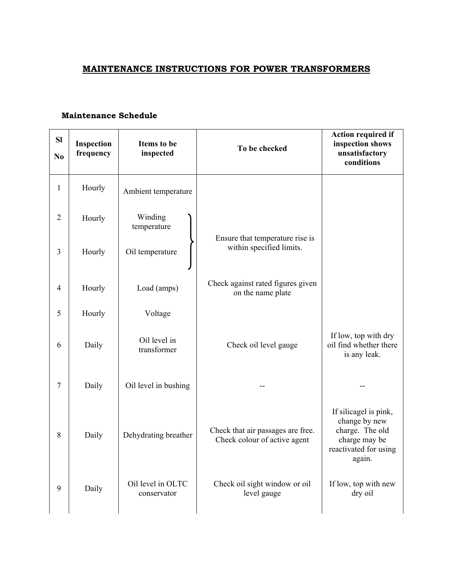## **MAINTENANCE INSTRUCTIONS FOR POWER TRANSFORMERS**

## **Maintenance Schedule**

| <b>Sl</b><br>N <sub>o</sub> | Inspection<br>frequency | Items to be<br>inspected         | To be checked                                                     | Action required if<br>inspection shows<br>unsatisfactory<br>conditions                                        |
|-----------------------------|-------------------------|----------------------------------|-------------------------------------------------------------------|---------------------------------------------------------------------------------------------------------------|
| $\mathbf{1}$                | Hourly                  | Ambient temperature              |                                                                   |                                                                                                               |
| $\overline{2}$              | Hourly                  | Winding<br>temperature           |                                                                   |                                                                                                               |
| 3                           | Hourly                  | Oil temperature                  | Ensure that temperature rise is<br>within specified limits.       |                                                                                                               |
| 4                           | Hourly                  | Load (amps)                      | Check against rated figures given<br>on the name plate            |                                                                                                               |
| 5                           | Hourly                  | Voltage                          |                                                                   |                                                                                                               |
| 6                           | Daily                   | Oil level in<br>transformer      | Check oil level gauge                                             | If low, top with dry<br>oil find whether there<br>is any leak.                                                |
| $\overline{7}$              | Daily                   | Oil level in bushing             |                                                                   |                                                                                                               |
| 8                           | Daily                   | Dehydrating breather             | Check that air passages are free.<br>Check colour of active agent | If silicagel is pink,<br>change by new<br>charge. The old<br>charge may be<br>reactivated for using<br>again. |
| 9                           | Daily                   | Oil level in OLTC<br>conservator | Check oil sight window or oil<br>level gauge                      | If low, top with new<br>dry oil                                                                               |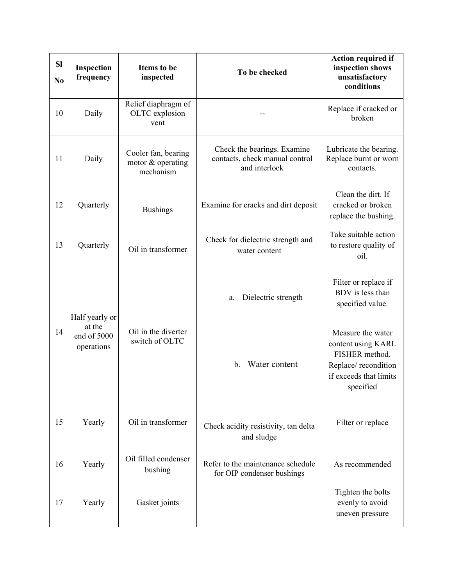| <b>SI</b><br>N <sub>0</sub> | Inspection<br>frequency             | <b>Items to be</b><br>inspected                       | To be checked                                                                  | <b>Action required if</b><br>inspection shows<br>unsatisfactory<br>conditions                                           |
|-----------------------------|-------------------------------------|-------------------------------------------------------|--------------------------------------------------------------------------------|-------------------------------------------------------------------------------------------------------------------------|
| 10                          | Daily                               | Relief diaphragm of<br>OLTC explosion<br>vent         |                                                                                | Replace if cracked or<br>broken                                                                                         |
| 11                          | Daily                               | Cooler fan, bearing<br>motor & operating<br>mechanism | Check the bearings. Examine<br>contacts, check manual control<br>and interlock | Lubricate the bearing.<br>Replace burnt or worn<br>contacts.                                                            |
| 12                          | Quarterly                           | <b>Bushings</b>                                       | Examine for cracks and dirt deposit                                            | Clean the dirt. If<br>cracked or broken<br>replace the bushing.                                                         |
| 13                          | Quarterly                           | Oil in transformer                                    | Check for dielectric strength and<br>water content                             | Take suitable action<br>to restore quality of<br>oil.                                                                   |
|                             | Half yearly or                      |                                                       | Dielectric strength<br>a.                                                      | Filter or replace if<br>BDV is less than<br>specified value.                                                            |
| 14                          | at the<br>end of 5000<br>operations | Oil in the diverter<br>switch of OLTC                 | Water content<br>$\mathbf{b}$ .                                                | Measure the water<br>content using KARL<br>FISHER method.<br>Replace/recondition<br>if exceeds that limits<br>specified |
| 15                          | Yearly                              | Oil in transformer                                    | Check acidity resistivity, tan delta<br>and sludge                             | Filter or replace                                                                                                       |
| 16                          | Yearly                              | Oil filled condenser<br>bushing                       | Refer to the maintenance schedule<br>for OIP condenser bushings                | As recommended                                                                                                          |
| 17                          | Yearly                              | Gasket joints                                         |                                                                                | Tighten the bolts<br>evenly to avoid<br>uneven pressure                                                                 |